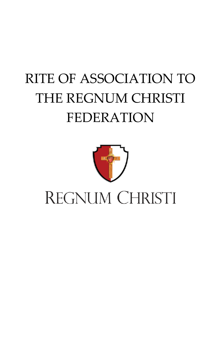# RITE OF ASSOCIATION TO THE REGNUM CHRISTI FEDERATION

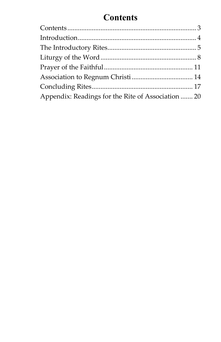# **Contents**

| Appendix: Readings for the Rite of Association  20 |  |
|----------------------------------------------------|--|
|                                                    |  |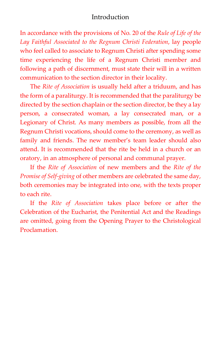#### Introduction

In accordance with the provisions of No. 20 of the *Rule of Life of the Lay Faithful Associated to the Regnum Christi Federation*, lay people who feel called to associate to Regnum Christi after spending some time experiencing the life of a Regnum Christi member and following a path of discernment, must state their will in a written communication to the section director in their locality.

The *Rite of Association* is usually held after a triduum, and has the form of a paraliturgy. It is recommended that the paraliturgy be directed by the section chaplain or the section director, be they a lay person, a consecrated woman, a lay consecrated man, or a Legionary of Christ. As many members as possible, from all the Regnum Christi vocations, should come to the ceremony, as well as family and friends. The new member's team leader should also attend. It is recommended that the rite be held in a church or an oratory, in an atmosphere of personal and communal prayer.

If the *Rite of Association* of new members and the *Rite of the Promise of Self-giving* of other members are celebrated the same day, both ceremonies may be integrated into one, with the texts proper to each rite.

If the *Rite of Association* takes place before or after the Celebration of the Eucharist, the Penitential Act and the Readings are omitted, going from the Opening Prayer to the Christological Proclamation.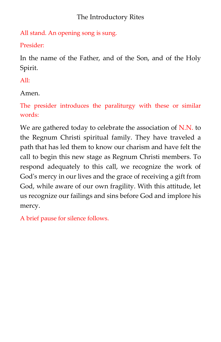# The Introductory Rites

All stand. An opening song is sung.

Presider:

In the name of the Father, and of the Son, and of the Holy Spirit.

All:

Amen.

The presider introduces the paraliturgy with these or similar words:

We are gathered today to celebrate the association of  $N.N.$  to the Regnum Christi spiritual family. They have traveled a path that has led them to know our charism and have felt the call to begin this new stage as Regnum Christi members. To respond adequately to this call, we recognize the work of God's mercy in our lives and the grace of receiving a gift from God, while aware of our own fragility. With this attitude, let us recognize our failings and sins before God and implore his mercy.

A brief pause for silence follows.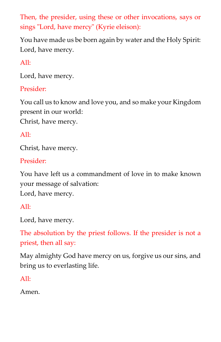Then, the presider, using these or other invocations, says or sings "Lord, have mercy" (Kyrie eleison):

You have made us be born again by water and the Holy Spirit: Lord, have mercy.

# All:

Lord, have mercy.

# Presider:

You call us to know and love you, and so make your Kingdom present in our world:

Christ, have mercy.

# All:

Christ, have mercy.

# Presider:

You have left us a commandment of love in to make known your message of salvation:

Lord, have mercy.

# All:

Lord, have mercy.

The absolution by the priest follows. If the presider is not a priest, then all say:

May almighty God have mercy on us, forgive us our sins, and bring us to everlasting life.

All:

Amen.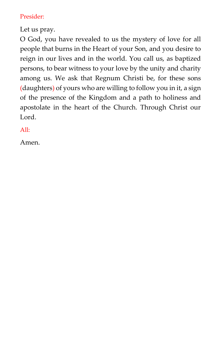#### Presider:

Let us pray.

O God, you have revealed to us the mystery of love for all people that burns in the Heart of your Son, and you desire to reign in our lives and in the world. You call us, as baptized persons, to bear witness to your love by the unity and charity among us. We ask that Regnum Christi be, for these sons (daughters) of yours who are willing to follow you in it, a sign of the presence of the Kingdom and a path to holiness and apostolate in the heart of the Church. Through Christ our Lord.

All:

Amen.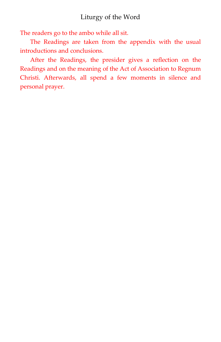The readers go to the ambo while all sit.

The Readings are taken from the appendix with the usual introductions and conclusions.

After the Readings, the presider gives a reflection on the Readings and on the meaning of the Act of Association to Regnum Christi. Afterwards, all spend a few moments in silence and personal prayer.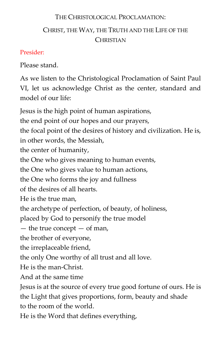# THE CHRISTOLOGICAL PROCLAMATION:

# CHRIST, THE WAY, THE TRUTH AND THE LIFE OF THE **CHRISTIAN**

# Presider:

Please stand.

As we listen to the Christological Proclamation of Saint Paul VI, let us acknowledge Christ as the center, standard and model of our life:

Jesus is the high point of human aspirations, the end point of our hopes and our prayers, the focal point of the desires of history and civilization. He is, in other words, the Messiah, the center of humanity, the One who gives meaning to human events, the One who gives value to human actions, the One who forms the joy and fullness of the desires of all hearts. He is the true man, the archetype of perfection, of beauty, of holiness, placed by God to personify the true model  $-$  the true concept  $-$  of man, the brother of everyone, the irreplaceable friend, the only One worthy of all trust and all love. He is the man-Christ. And at the same time Jesus is at the source of every true good fortune of ours. He is the Light that gives proportions, form, beauty and shade to the room of the world.

He is the Word that defines everything,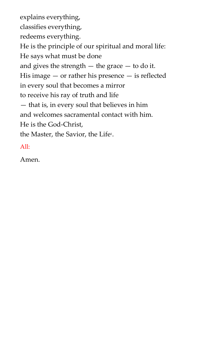explains everything, classifies everything, redeems everything. He is the principle of our spiritual and moral life: He says what must be done and gives the strength  $-$  the grace  $-$  to do it. His image  $-$  or rather his presence  $-$  is reflected in every soul that becomes a mirror to receive his ray of truth and life — that is, in every soul that believes in him and welcomes sacramental contact with him. He is the God-Christ, the Master, the Savior, the Life<sup>1</sup>.

#### All:

Amen.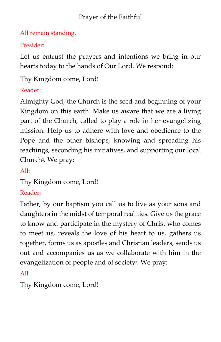# All remain standing.

# Presider:

Let us entrust the prayers and intentions we bring in our hearts today to the hands of Our Lord. We respond:

Thy Kingdom come, Lord!

# Reader:

Almighty God, the Church is the seed and beginning of your Kingdom on this earth. Make us aware that we are a living part of the Church, called to play a role in her evangelizing mission. Help us to adhere with love and obedience to the Pope and the other bishops, knowing and spreading his teachings, seconding his initiatives, and supporting our local Church2. We pray:

All:

Thy Kingdom come, Lord!

# Reader:

Father, by our baptism you call us to live as your sons and daughters in the midst of temporal realities. Give us the grace to know and participate in the mystery of Christ who comes to meet us, reveals the love of his heart to us, gathers us together, forms us as apostles and Christian leaders, sends us out and accompanies us as we collaborate with him in the evangelization of people and of society<sup>3</sup>. We pray:

All:

Thy Kingdom come, Lord!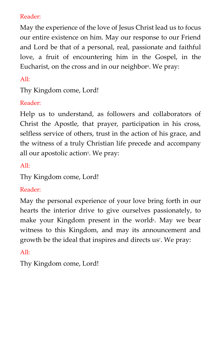# Reader:

May the experience of the love of Jesus Christ lead us to focus our entire existence on him. May our response to our Friend and Lord be that of a personal, real, passionate and faithful love, a fruit of encountering him in the Gospel, in the Eucharist, on the cross and in our neighbor4. We pray:

All:

Thy Kingdom come, Lord!

Reader:

Help us to understand, as followers and collaborators of Christ the Apostle, that prayer, participation in his cross, selfless service of others, trust in the action of his grace, and the witness of a truly Christian life precede and accompany all our apostolic action<sup>5</sup>. We pray:

 $All:$ 

Thy Kingdom come, Lord!

# Reader:

May the personal experience of your love bring forth in our hearts the interior drive to give ourselves passionately, to make your Kingdom present in the world<sup>6</sup>. May we bear witness to this Kingdom, and may its announcement and growth be the ideal that inspires and directs us<sup>7</sup>. We pray:

All:

Thy Kingdom come, Lord!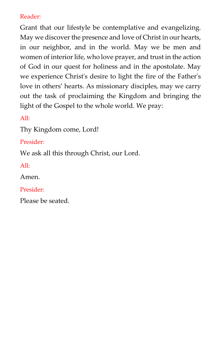#### Reader:

Grant that our lifestyle be contemplative and evangelizing. May we discover the presence and love of Christ in our hearts, in our neighbor, and in the world. May we be men and women of interior life, who love prayer, and trust in the action of God in our quest for holiness and in the apostolate. May we experience Christ's desire to light the fire of the Father's love in others' hearts. As missionary disciples, may we carry out the task of proclaiming the Kingdom and bringing the light of the Gospel to the whole world. We pray:

All:

Thy Kingdom come, Lord!

Presider:

We ask all this through Christ, our Lord.

All:

Amen.

Presider:

Please be seated.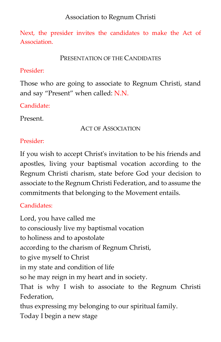#### Association to Regnum Christi

Next, the presider invites the candidates to make the Act of Association.

#### PRESENTATION OF THE CANDIDATES

# Presider:

Those who are going to associate to Regnum Christi, stand and say "Present" when called: N.N.

# Candidate:

Present.

# ACT OF ASSOCIATION

# Presider:

If you wish to accept Christ's invitation to be his friends and apostles, living your baptismal vocation according to the Regnum Christi charism, state before God your decision to associate to the Regnum Christi Federation, and to assume the commitments that belonging to the Movement entails.

# Candidates:

Lord, you have called me to consciously live my baptismal vocation to holiness and to apostolate according to the charism of Regnum Christi, to give myself to Christ in my state and condition of life so he may reign in my heart and in society. That is why I wish to associate to the Regnum Christi Federation, thus expressing my belonging to our spiritual family. Today I begin a new stage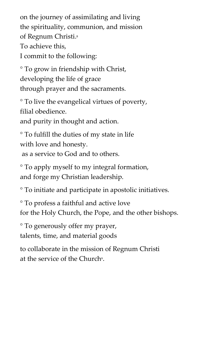on the journey of assimilating and living the spirituality, communion, and mission of Regnum Christi.8 To achieve this, I commit to the following:

° To grow in friendship with Christ, developing the life of grace through prayer and the sacraments.

° To live the evangelical virtues of poverty, filial obedience.

and purity in thought and action.

° To fulfill the duties of my state in life with love and honesty. as a service to God and to others.

° To apply myself to my integral formation, and forge my Christian leadership.

° To initiate and participate in apostolic initiatives.

° To profess a faithful and active love for the Holy Church, the Pope, and the other bishops.

° To generously offer my prayer, talents, time, and material goods

to collaborate in the mission of Regnum Christi at the service of the Church<sup>9</sup>.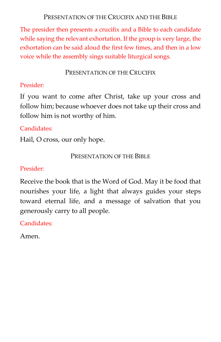#### PRESENTATION OF THE CRUCIFIX AND THE BIBLE

The presider then presents a crucifix and a Bible to each candidate while saying the relevant exhortation. If the group is very large, the exhortation can be said aloud the first few times, and then in a low voice while the assembly sings suitable liturgical songs.

#### PRESENTATION OF THE CRUCIFIX

#### Presider:

If you want to come after Christ, take up your cross and follow him; because whoever does not take up their cross and follow him is not worthy of him.

#### Candidates:

Hail, O cross, our only hope.

#### PRESENTATION OF THE BIBLE

#### Presider:

Receive the book that is the Word of God. May it be food that nourishes your life, a light that always guides your steps toward eternal life, and a message of salvation that you generously carry to all people.

Candidates:

Amen.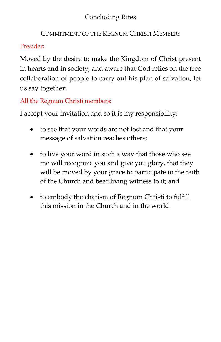# Concluding Rites

# COMMITMENT OF THE REGNUM CHRISTI MEMBERS

# Presider:

Moved by the desire to make the Kingdom of Christ present in hearts and in society, and aware that God relies on the free collaboration of people to carry out his plan of salvation, let us say together:

All the Regnum Christi members:

I accept your invitation and so it is my responsibility:

- to see that your words are not lost and that your message of salvation reaches others;
- to live your word in such a way that those who see me will recognize you and give you glory, that they will be moved by your grace to participate in the faith of the Church and bear living witness to it; and
- to embody the charism of Regnum Christi to fulfill this mission in the Church and in the world.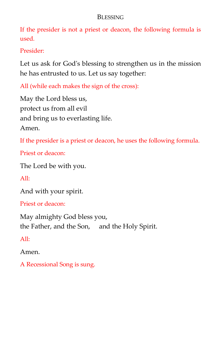#### BLESSING

If the presider is not a priest or deacon, the following formula is used.

Presider:

Let us ask for God's blessing to strengthen us in the mission he has entrusted to us. Let us say together:

All (while each makes the sign of the cross):

May the Lord bless us, protect us from all evil and bring us to everlasting life. Amen.

If the presider is a priest or deacon, he uses the following formula.

Priest or deacon:

The Lord be with you.

All:

And with your spirit.

Priest or deacon:

May almighty God bless you, the Father, and the Son, and the Holy Spirit.

 $All:$ 

Amen.

A Recessional Song is sung.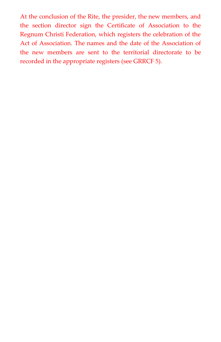At the conclusion of the Rite, the presider, the new members, and the section director sign the Certificate of Association to the Regnum Christi Federation, which registers the celebration of the Act of Association. The names and the date of the Association of the new members are sent to the territorial directorate to be recorded in the appropriate registers (see GRRCF 5).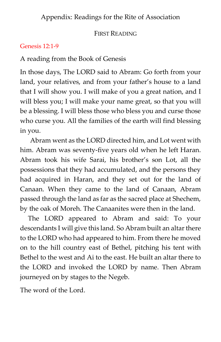#### Appendix: Readings for the Rite of Association

FIRST READING

#### Genesis 12:1-9

A reading from the Book of Genesis

In those days, The LORD said to Abram: Go forth from your land, your relatives, and from your father's house to a land that I will show you. I will make of you a great nation, and I will bless you; I will make your name great, so that you will be a blessing. I will bless those who bless you and curse those who curse you. All the families of the earth will find blessing in you.

Abram went as the LORD directed him, and Lot went with him. Abram was seventy-five years old when he left Haran. Abram took his wife Sarai, his brother's son Lot, all the possessions that they had accumulated, and the persons they had acquired in Haran, and they set out for the land of Canaan. When they came to the land of Canaan, Abram passed through the land as far as the sacred place at Shechem, by the oak of Moreh. The Canaanites were then in the land.

The LORD appeared to Abram and said: To your descendants I will give this land. So Abram built an altar there to the LORD who had appeared to him. From there he moved on to the hill country east of Bethel, pitching his tent with Bethel to the west and Ai to the east. He built an altar there to the LORD and invoked the LORD by name. Then Abram journeyed on by stages to the Negeb.

The word of the Lord.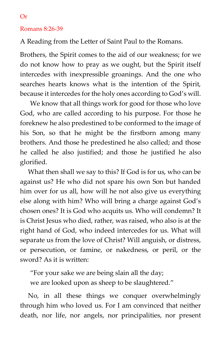#### Romans 8:26-39

A Reading from the Letter of Saint Paul to the Romans.

Brothers, the Spirit comes to the aid of our weakness; for we do not know how to pray as we ought, but the Spirit itself intercedes with inexpressible groanings. And the one who searches hearts knows what is the intention of the Spirit, because it intercedes for the holy ones according to God's will.

We know that all things work for good for those who love God, who are called according to his purpose. For those he foreknew he also predestined to be conformed to the image of his Son, so that he might be the firstborn among many brothers. And those he predestined he also called; and those he called he also justified; and those he justified he also glorified.

What then shall we say to this? If God is for us, who can be against us? He who did not spare his own Son but handed him over for us all, how will he not also give us everything else along with him? Who will bring a charge against God's chosen ones? It is God who acquits us. Who will condemn? It is Christ Jesus who died, rather, was raised, who also is at the right hand of God, who indeed intercedes for us. What will separate us from the love of Christ? Will anguish, or distress, or persecution, or famine, or nakedness, or peril, or the sword? As it is written:

"For your sake we are being slain all the day; we are looked upon as sheep to be slaughtered."

No, in all these things we conquer overwhelmingly through him who loved us. For I am convinced that neither death, nor life, nor angels, nor principalities, nor present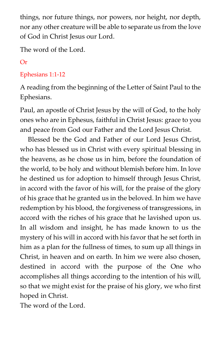things, nor future things, nor powers, nor height, nor depth, nor any other creature will be able to separate us from the love of God in Christ Jesus our Lord.

The word of the Lord.

# Or

# Ephesians 1:1-12

A reading from the beginning of the Letter of Saint Paul to the Ephesians.

Paul, an apostle of Christ Jesus by the will of God, to the holy ones who are in Ephesus, faithful in Christ Jesus: grace to you and peace from God our Father and the Lord Jesus Christ.

Blessed be the God and Father of our Lord Jesus Christ, who has blessed us in Christ with every spiritual blessing in the heavens, as he chose us in him, before the foundation of the world, to be holy and without blemish before him. In love he destined us for adoption to himself through Jesus Christ, in accord with the favor of his will, for the praise of the glory of his grace that he granted us in the beloved. In him we have redemption by his blood, the forgiveness of transgressions, in accord with the riches of his grace that he lavished upon us. In all wisdom and insight, he has made known to us the mystery of his will in accord with his favor that he set forth in him as a plan for the fullness of times, to sum up all things in Christ, in heaven and on earth. In him we were also chosen, destined in accord with the purpose of the One who accomplishes all things according to the intention of his will, so that we might exist for the praise of his glory, we who first hoped in Christ.

The word of the Lord.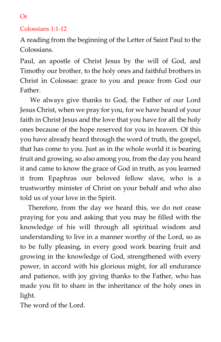# Colossians 1:1-12

A reading from the beginning of the Letter of Saint Paul to the Colossians.

Paul, an apostle of Christ Jesus by the will of God, and Timothy our brother, to the holy ones and faithful brothers in Christ in Colossae: grace to you and peace from God our Father.

We always give thanks to God, the Father of our Lord Jesus Christ, when we pray for you, for we have heard of your faith in Christ Jesus and the love that you have for all the holy ones because of the hope reserved for you in heaven. Of this you have already heard through the word of truth, the gospel, that has come to you. Just as in the whole world it is bearing fruit and growing, so also among you, from the day you heard it and came to know the grace of God in truth, as you learned it from Epaphras our beloved fellow slave, who is a trustworthy minister of Christ on your behalf and who also told us of your love in the Spirit.

Therefore, from the day we heard this, we do not cease praying for you and asking that you may be filled with the knowledge of his will through all spiritual wisdom and understanding to live in a manner worthy of the Lord, so as to be fully pleasing, in every good work bearing fruit and growing in the knowledge of God, strengthened with every power, in accord with his glorious might, for all endurance and patience, with joy giving thanks to the Father, who has made you fit to share in the inheritance of the holy ones in light.

The word of the Lord.

#### Or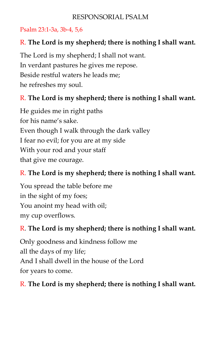#### RESPONSORIAL PSALM

# Psalm 23:1-3a, 3b-4, 5,6

# R. **The Lord is my shepherd; there is nothing I shall want.**

The Lord is my shepherd; I shall not want. In verdant pastures he gives me repose. Beside restful waters he leads me; he refreshes my soul.

# R. **The Lord is my shepherd; there is nothing I shall want.**

He guides me in right paths for his name's sake. Even though I walk through the dark valley I fear no evil; for you are at my side With your rod and your staff that give me courage.

# R. **The Lord is my shepherd; there is nothing I shall want.**

You spread the table before me in the sight of my foes; You anoint my head with oil; my cup overflows.

# R. **The Lord is my shepherd; there is nothing I shall want.**

Only goodness and kindness follow me all the days of my life; And I shall dwell in the house of the Lord for years to come.

# R. **The Lord is my shepherd; there is nothing I shall want.**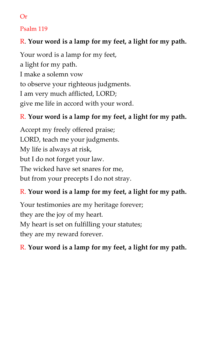# Psalm 119

# R. **Your word is a lamp for my feet, a light for my path.**

Your word is a lamp for my feet, a light for my path. I make a solemn vow to observe your righteous judgments. I am very much afflicted, LORD; give me life in accord with your word.

# R. **Your word is a lamp for my feet, a light for my path.**

Accept my freely offered praise; LORD, teach me your judgments. My life is always at risk, but I do not forget your law. The wicked have set snares for me, but from your precepts I do not stray.

# R. **Your word is a lamp for my feet, a light for my path.**

Your testimonies are my heritage forever; they are the joy of my heart. My heart is set on fulfilling your statutes; they are my reward forever.

# R. **Your word is a lamp for my feet, a light for my path.**

#### Or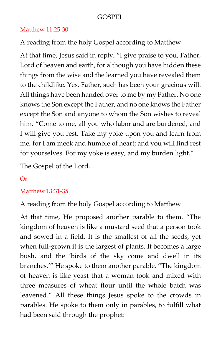#### GOSPEL

#### Matthew 11:25-30

A reading from the holy Gospel according to Matthew

At that time, Jesus said in reply, "I give praise to you, Father, Lord of heaven and earth, for although you have hidden these things from the wise and the learned you have revealed them to the childlike. Yes, Father, such has been your gracious will. All things have been handed over to me by my Father. No one knows the Son except the Father, and no one knows the Father except the Son and anyone to whom the Son wishes to reveal him. "Come to me, all you who labor and are burdened, and I will give you rest. Take my yoke upon you and learn from me, for I am meek and humble of heart; and you will find rest for yourselves. For my yoke is easy, and my burden light."

The Gospel of the Lord.

Or

#### Matthew 13:31-35

A reading from the holy Gospel according to Matthew

At that time, He proposed another parable to them. "The kingdom of heaven is like a mustard seed that a person took and sowed in a field. It is the smallest of all the seeds, yet when full-grown it is the largest of plants. It becomes a large bush, and the 'birds of the sky come and dwell in its branches.'" He spoke to them another parable. "The kingdom of heaven is like yeast that a woman took and mixed with three measures of wheat flour until the whole batch was leavened." All these things Jesus spoke to the crowds in parables. He spoke to them only in parables, to fulfill what had been said through the prophet: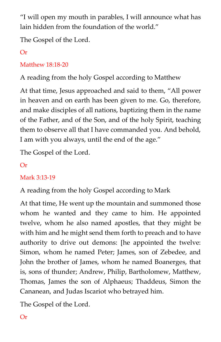"I will open my mouth in parables, I will announce what has lain hidden from the foundation of the world."

The Gospel of the Lord.

# Or

# Matthew 18:18-20

A reading from the holy Gospel according to Matthew

At that time, Jesus approached and said to them, "All power in heaven and on earth has been given to me. Go, therefore, and make disciples of all nations, baptizing them in the name of the Father, and of the Son, and of the holy Spirit, teaching them to observe all that I have commanded you. And behold, I am with you always, until the end of the age."

The Gospel of the Lord.

# Or

# Mark 3:13-19

A reading from the holy Gospel according to Mark

At that time, He went up the mountain and summoned those whom he wanted and they came to him. He appointed twelve, whom he also named apostles, that they might be with him and he might send them forth to preach and to have authority to drive out demons: [he appointed the twelve: Simon, whom he named Peter; James, son of Zebedee, and John the brother of James, whom he named Boanerges, that is, sons of thunder; Andrew, Philip, Bartholomew, Matthew, Thomas, James the son of Alphaeus; Thaddeus, Simon the Cananean, and Judas Iscariot who betrayed him.

The Gospel of the Lord.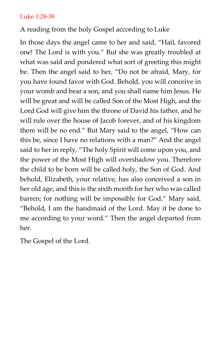#### Luke 1:28-38

# A reading from the holy Gospel according to Luke

In those days the angel came to her and said, "Hail, favored one! The Lord is with you." But she was greatly troubled at what was said and pondered what sort of greeting this might be. Then the angel said to her, "Do not be afraid, Mary, for you have found favor with God. Behold, you will conceive in your womb and bear a son, and you shall name him Jesus. He will be great and will be called Son of the Most High, and the Lord God will give him the throne of David his father, and he will rule over the house of Jacob forever, and of his kingdom there will be no end." But Mary said to the angel, "How can this be, since I have no relations with a man?" And the angel said to her in reply, "The holy Spirit will come upon you, and the power of the Most High will overshadow you. Therefore the child to be born will be called holy, the Son of God. And behold, Elizabeth, your relative, has also conceived a son in her old age, and this is the sixth month for her who was called barren; for nothing will be impossible for God." Mary said, "Behold, I am the handmaid of the Lord. May it be done to me according to your word." Then the angel departed from her.

The Gospel of the Lord.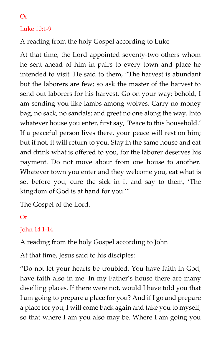# Luke 10:1-9

A reading from the holy Gospel according to Luke

At that time, the Lord appointed seventy-two others whom he sent ahead of him in pairs to every town and place he intended to visit. He said to them, "The harvest is abundant but the laborers are few; so ask the master of the harvest to send out laborers for his harvest. Go on your way; behold, I am sending you like lambs among wolves. Carry no money bag, no sack, no sandals; and greet no one along the way. Into whatever house you enter, first say, 'Peace to this household.' If a peaceful person lives there, your peace will rest on him; but if not, it will return to you. Stay in the same house and eat and drink what is offered to you, for the laborer deserves his payment. Do not move about from one house to another. Whatever town you enter and they welcome you, eat what is set before you, cure the sick in it and say to them, 'The kingdom of God is at hand for you.'"

The Gospel of the Lord.

#### Or

#### John 14:1-14

A reading from the holy Gospel according to John

At that time, Jesus said to his disciples:

"Do not let your hearts be troubled. You have faith in God; have faith also in me. In my Father's house there are many dwelling places. If there were not, would I have told you that I am going to prepare a place for you? And if I go and prepare a place for you, I will come back again and take you to myself, so that where I am you also may be. Where I am going you

#### Or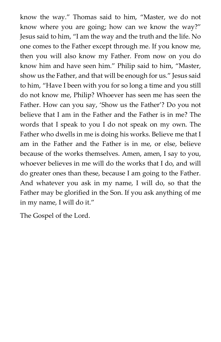know the way." Thomas said to him, "Master, we do not know where you are going; how can we know the way?" Jesus said to him, "I am the way and the truth and the life. No one comes to the Father except through me. If you know me, then you will also know my Father. From now on you do know him and have seen him." Philip said to him, "Master, show us the Father, and that will be enough for us." Jesus said to him, "Have I been with you for so long a time and you still do not know me, Philip? Whoever has seen me has seen the Father. How can you say, 'Show us the Father'? Do you not believe that I am in the Father and the Father is in me? The words that I speak to you I do not speak on my own. The Father who dwells in me is doing his works. Believe me that I am in the Father and the Father is in me, or else, believe because of the works themselves. Amen, amen, I say to you, whoever believes in me will do the works that I do, and will do greater ones than these, because I am going to the Father. And whatever you ask in my name, I will do, so that the Father may be glorified in the Son. If you ask anything of me in my name, I will do it."

The Gospel of the Lord.